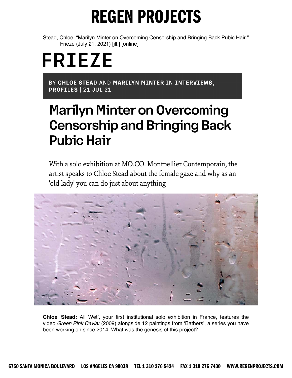Stead, Chloe. "Marilyn Minter on Overcoming Censorship and Bringing Back Pubic Hair." Frieze (July 21, 2021) [ill.] [online]

# **FRIEZE**

BY CHLOE STEAD AND MARILYN MINTER IN INTERVIEWS, **PROFILES | 21 JUL 21** 

#### **Marilyn Minter on Overcoming Censorship and Bringing Back Pubic Hair**

With a solo exhibition at MO.CO. Montpellier Contemporain, the artist speaks to Chloe Stead about the female gaze and why as an 'old lady' you can do just about anything



**Chloe Stead:** 'All Wet', your first institutional solo exhibition in France, features the video *Green Pink Caviar* (2009) alongside 12 paintings from 'Bathers', a series you have been working on since 2014. What was the genesis of this project?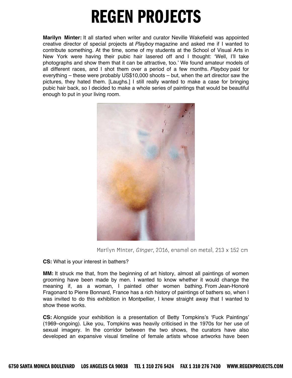**Marilyn Minter:** It all started when writer and curator Neville Wakefield was appointed creative director of special projects at *Playboy* magazine and asked me if I wanted to contribute something. At the time, some of my students at the School of Visual Arts in New York were having their pubic hair lasered off and I thought: 'Well, I'll take photographs and show them that it can be attractive, too.' We found amateur models of all different races, and I shot them over a period of a few months. *Playboy* paid for everything – these were probably US\$10,000 shoots – but, when the art director saw the pictures, they hated them. [Laughs.] I still really wanted to make a case for bringing pubic hair back, so I decided to make a whole series of paintings that would be beautiful enough to put in your living room.



Marilyn Minter, Ginger, 2016, enamel on metal, 213 x 152 cm

#### **CS:** What is your interest in bathers?

**MM:** It struck me that, from the beginning of art history, almost all paintings of women grooming have been made by men. I wanted to know whether it would change the meaning if, as a woman, I painted other women bathing. From Jean-Honoré Fragonard to Pierre Bonnard, France has a rich history of paintings of bathers so, when I was invited to do this exhibition in Montpellier, I knew straight away that I wanted to show these works.

**CS:** Alongside your exhibition is a presentation of Betty Tompkins's 'Fuck Paintings' (1969–ongoing). Like you, Tompkins was heavily criticised in the 1970s for her use of sexual imagery. In the corridor between the two shows, the curators have also developed an expansive visual timeline of female artists whose artworks have been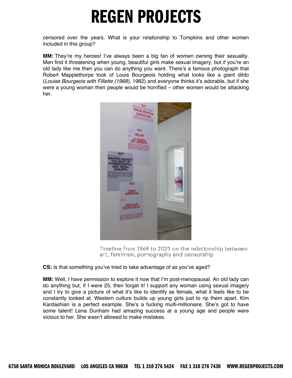censored over the years. What is your relationship to Tompkins and other women included in this group?

**MM:** They're my heroes! I've always been a big fan of women owning their sexuality. Men find it threatening when young, beautiful girls make sexual imagery, but if you're an old lady like me then you can do anything you want. There's a famous photograph that Robert Mapplethorpe took of Louis Bourgeois holding what looks like a giant dildo (*Louise Bourgeois with Fillette (1968)*, 1982) and everyone thinks it's adorable, but if she were a young woman then people would be horrified – other women would be attacking her.



Timeline from 1969 to 2021 on the relationship between art, feminism, pornography and censorship

#### **CS:** Is that something you've tried to take advantage of as you've aged?

**MM:** Well, I have permission to explore it now that I'm post-menopausal. An old lady can do anything but, if I were 25, then forget it! I support any woman using sexual imagery and I try to give a picture of what it's like to identify as female, what it feels like to be constantly looked at. Western culture builds up young girls just to rip them apart. Kim Kardashian is a perfect example. She's a fucking multi-millionaire. She's got to have some talent! Lena Dunham had amazing success at a young age and people were vicious to her. She wasn't allowed to make mistakes.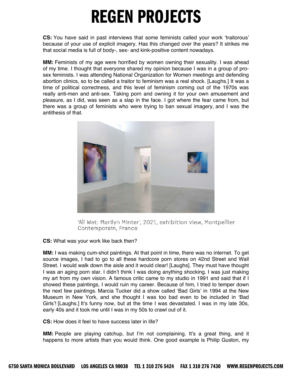**CS:** You have said in past interviews that some feminists called your work 'traitorous' because of your use of explicit imagery. Has this changed over the years? It strikes me that social media is full of body-, sex- and kink-positive content nowadays.

**MM:** Feminists of my age were horrified by women owning their sexuality. I was ahead of my time. I thought that everyone shared my opinion because I was in a group of prosex feminists. I was attending National Organization for Women meetings and defending abortion clinics, so to be called a traitor to feminism was a real shock. [Laughs.] It was a time of political correctness, and this level of feminism coming out of the 1970s was really anti-men and anti-sex. Taking porn and owning it for your own amusement and pleasure, as I did, was seen as a slap in the face. I got where the fear came from, but there was a group of feminists who were trying to ban sexual imagery, and I was the antithesis of that.



'All Wet: Marilyn Minter', 2021, exhibition view, Montpellier Contemporain, France

#### **CS:** What was your work like back then?

**MM:** I was making cum-shot paintings. At that point in time, there was no internet. To get source images, I had to go to all these hardcore porn stores on 42nd Street and Wall Street. I would walk down the aisle and it would clear! [Laughs]. They must have thought I was an aging porn star. I didn't think I was doing anything shocking. I was just making my art from my own vision. A famous critic came to my studio in 1991 and said that if I showed these paintings, I would ruin my career. Because of him, I tried to temper down the next few paintings. Marcia Tucker did a show called 'Bad Girls' in 1994 at the New Museum in New York, and she thought I was too bad even to be included in 'Bad Girls'! [Laughs.] It's funny now, but at the time I was devastated. I was in my late 30s, early 40s and it took me until I was in my 50s to crawl out of it.

**CS:** How does it feel to have success later in life?

**MM:** People are playing catchup, but I'm not complaining. It's a great thing, and it happens to more artists than you would think. One good example is Philip Guston, my